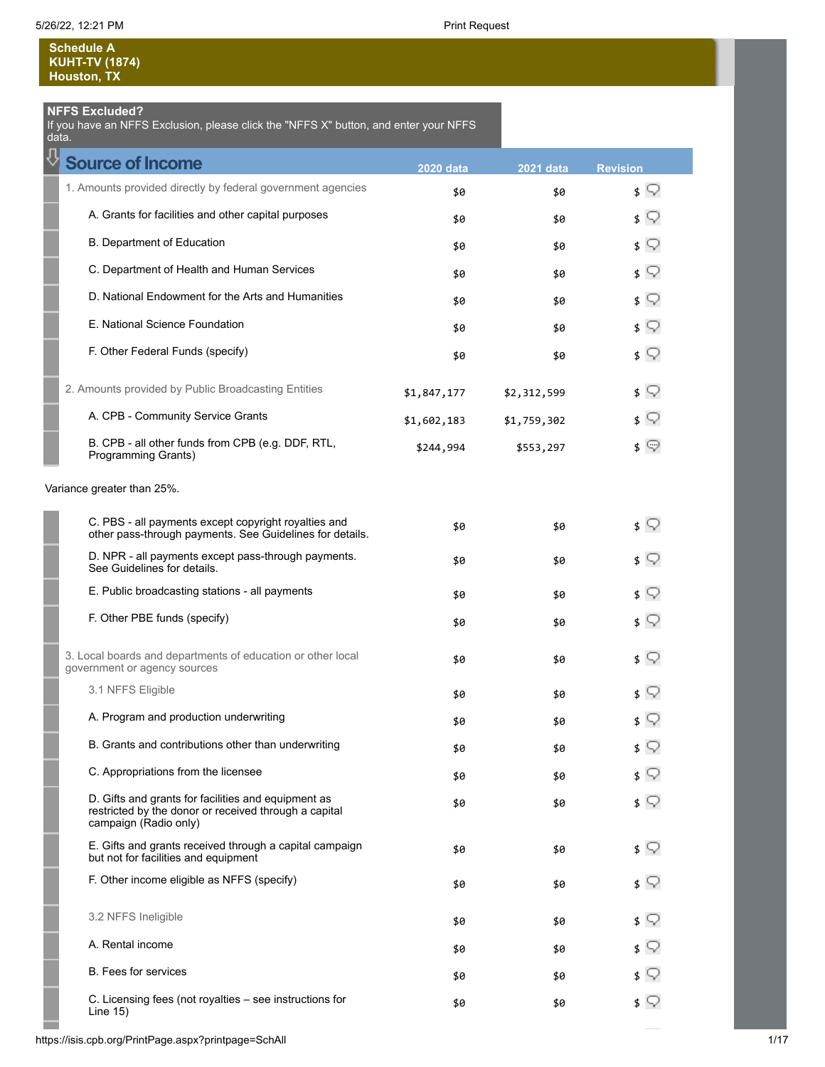**Schedule A KUHT-TV (1874) Houston, TX**

### **NFFS Excluded?**

If you have an NFFS Exclusion, please click the "NFFS X" button, and enter your NFFS data.

| <b>Source of Income</b>                                                                                                               | <b>2020 data</b> | <b>2021 data</b> | <b>Revision</b> |
|---------------------------------------------------------------------------------------------------------------------------------------|------------------|------------------|-----------------|
| 1. Amounts provided directly by federal government agencies                                                                           | \$0              | \$0              | 3 Y             |
| A. Grants for facilities and other capital purposes                                                                                   | \$0              | \$0              | \$ ?            |
| <b>B. Department of Education</b>                                                                                                     | \$0              | \$0              | \$ V            |
| C. Department of Health and Human Services                                                                                            | \$0              | \$0              | ≰ ⊊             |
| D. National Endowment for the Arts and Humanities                                                                                     | \$0              | \$0              | \$ V            |
| E. National Science Foundation                                                                                                        | \$0              | \$0              | ≰ ⊊             |
| F. Other Federal Funds (specify)                                                                                                      | \$0              | \$0              | \$ V            |
| 2. Amounts provided by Public Broadcasting Entities                                                                                   | \$1,847,177      | \$2,312,599      | \$ V            |
| A. CPB - Community Service Grants                                                                                                     | \$1,602,183      | \$1,759,302      | \$ ?            |
| B. CPB - all other funds from CPB (e.g. DDF, RTL,<br><b>Programming Grants)</b>                                                       | \$244,994        | \$553,297        | $\sqrt{ }$      |
| Variance greater than 25%.                                                                                                            |                  |                  |                 |
| C. PBS - all payments except copyright royalties and<br>other pass-through payments. See Guidelines for details.                      | \$0              | \$0              | $\sqrt{ }$      |
| D. NPR - all payments except pass-through payments.<br>See Guidelines for details.                                                    | \$0              | \$0              | \$ V            |
| E. Public broadcasting stations - all payments                                                                                        | \$0              | \$0              | \$ V            |
| F. Other PBE funds (specify)                                                                                                          | \$0              | \$0              | $\sqrt{ }$      |
| 3. Local boards and departments of education or other local<br>government or agency sources                                           | \$0              | \$0              | \$ V            |
| 3.1 NFFS Eligible                                                                                                                     | \$0              | \$0              | s V             |
| A. Program and production underwriting                                                                                                | \$0              | \$0              | \$ V            |
| B. Grants and contributions other than underwriting                                                                                   | \$0              | \$0              | \$ V            |
| C. Appropriations from the licensee                                                                                                   | \$0              | \$0              |                 |
| D. Gifts and grants for facilities and equipment as<br>restricted by the donor or received through a capital<br>campaign (Radio only) | \$0              | \$0              |                 |
| E. Gifts and grants received through a capital campaign<br>but not for facilities and equipment                                       | \$0              | \$0              | s V             |
| F. Other income eligible as NFFS (specify)                                                                                            | \$0              | \$0              | s V             |
| 3.2 NFFS Ineligible                                                                                                                   | \$0              | \$0              | \$ W            |
| A. Rental income                                                                                                                      | \$0              | \$0              |                 |
| <b>B.</b> Fees for services                                                                                                           | \$0              | \$0              | s V             |
| C. Licensing fees (not royalties - see instructions for<br>Line $15)$                                                                 | \$0              | \$0              | \$ ?            |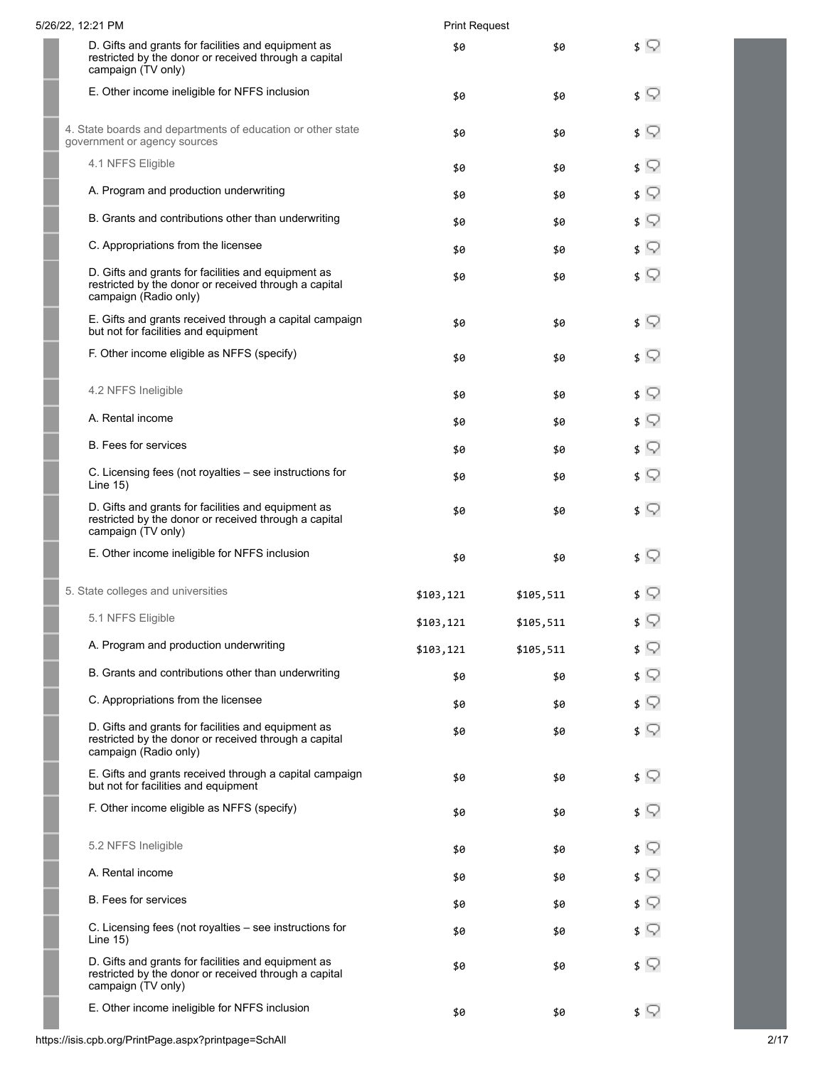| 5/26/22, 12:21 PM                                                                                                                     | <b>Print Request</b> |           |                              |
|---------------------------------------------------------------------------------------------------------------------------------------|----------------------|-----------|------------------------------|
| D. Gifts and grants for facilities and equipment as<br>restricted by the donor or received through a capital<br>campaign (TV only)    | \$0                  | \$0       | \$ V                         |
| E. Other income ineligible for NFFS inclusion                                                                                         | \$0                  | \$0       | \$ ?                         |
| 4. State boards and departments of education or other state<br>government or agency sources                                           | \$0                  | \$0       | $\sqrt{ }$                   |
| 4.1 NFFS Eligible                                                                                                                     | \$0                  | \$0       | \$ ़                         |
| A. Program and production underwriting                                                                                                | \$0                  | \$0       | $\mathfrak{s} \nabla$        |
| B. Grants and contributions other than underwriting                                                                                   | \$0                  | \$0       | \$ ?                         |
| C. Appropriations from the licensee                                                                                                   | \$0                  | \$0       | ≴ ू                          |
| D. Gifts and grants for facilities and equipment as<br>restricted by the donor or received through a capital<br>campaign (Radio only) | \$0                  | \$0       | ≰ ⊊                          |
| E. Gifts and grants received through a capital campaign<br>but not for facilities and equipment                                       | \$0                  | \$0       | ≴ ू                          |
| F. Other income eligible as NFFS (specify)                                                                                            | \$0                  | \$0       | $\mathfrak{s} \; \mathbb{Q}$ |
| 4.2 NFFS Ineligible                                                                                                                   | \$0                  | \$0       | ≴ ू                          |
| A. Rental income                                                                                                                      | \$0                  | \$0       | \$ ?                         |
| <b>B.</b> Fees for services                                                                                                           | \$0                  | \$0       | \$ ?                         |
| C. Licensing fees (not royalties - see instructions for<br>Line $15$ )                                                                | \$0                  | \$0       | \$ V                         |
| D. Gifts and grants for facilities and equipment as<br>restricted by the donor or received through a capital<br>campaign (TV only)    | \$0                  | \$0       | $\sqrt{2}$                   |
| E. Other income ineligible for NFFS inclusion                                                                                         | \$0                  | \$0       | \$ V                         |
| 5. State colleges and universities                                                                                                    | \$103,121            | \$105,511 | \$ V                         |
| 5.1 NFFS Eligible                                                                                                                     | \$103,121            | \$105,511 | \$ V                         |
| A. Program and production underwriting                                                                                                | \$103,121            | \$105,511 | \$ V                         |
| B. Grants and contributions other than underwriting                                                                                   | \$0                  | \$0       | \$ ?                         |
| C. Appropriations from the licensee                                                                                                   | \$0                  | \$0       | \$ ?                         |
| D. Gifts and grants for facilities and equipment as<br>restricted by the donor or received through a capital<br>campaign (Radio only) | \$0                  | \$0       | \$ ⊽                         |
| E. Gifts and grants received through a capital campaign<br>but not for facilities and equipment                                       | \$0                  | \$0       | \$ V                         |
| F. Other income eligible as NFFS (specify)                                                                                            | \$0                  | \$0       | \$ Y                         |
| 5.2 NFFS Ineligible                                                                                                                   | \$0                  | \$0       | $\mathfrak{s} \nabla$        |
| A. Rental income                                                                                                                      | \$0                  | \$0       | \$ V                         |
| <b>B.</b> Fees for services                                                                                                           | \$0                  | \$0       | $\sqrt{ }$                   |
| C. Licensing fees (not royalties – see instructions for<br>Line $15)$                                                                 | \$0                  | \$0       | ≴ ⊊                          |
| D. Gifts and grants for facilities and equipment as<br>restricted by the donor or received through a capital<br>campaign (TV only)    | \$0                  | \$0       | ≴ ⊊                          |
| E. Other income ineligible for NFFS inclusion                                                                                         | \$0                  | \$0       | $\sqrt{ }$                   |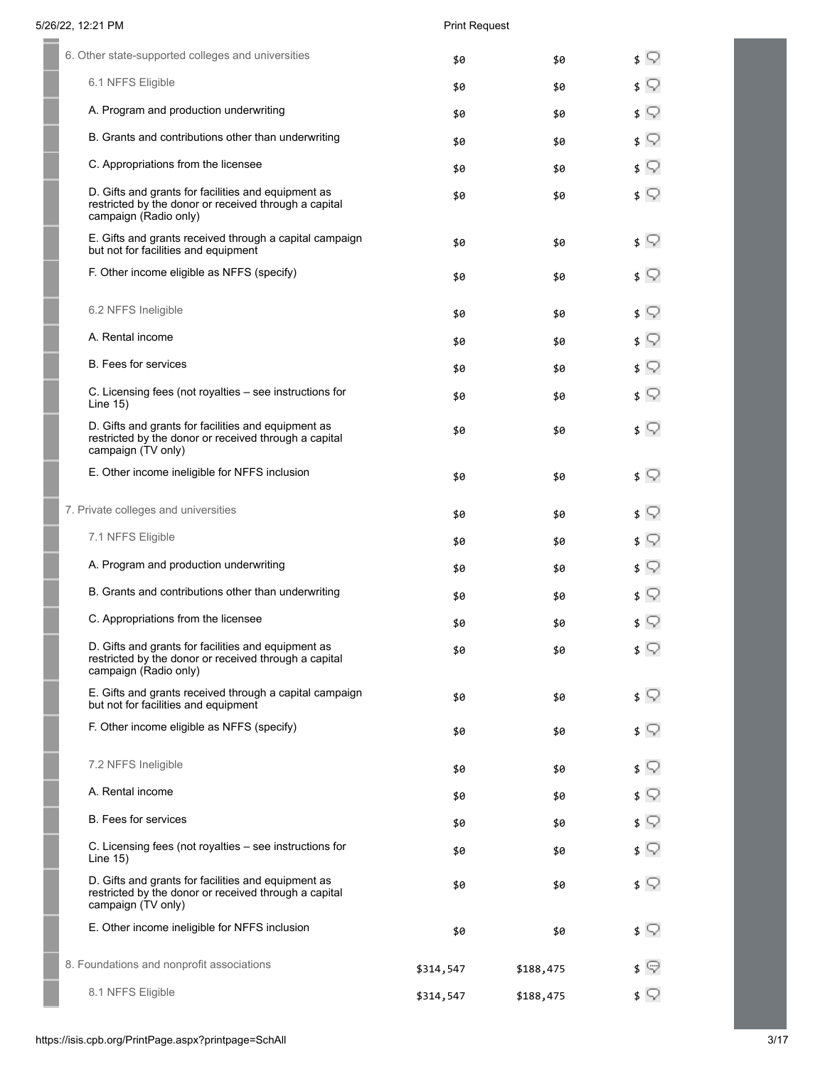| 6. Other state-supported colleges and universities                                                                                    | \$0       | \$0       | Q<br>\$                      |
|---------------------------------------------------------------------------------------------------------------------------------------|-----------|-----------|------------------------------|
| 6.1 NFFS Eligible                                                                                                                     | \$0       | \$0       | ≰ ⊊                          |
| A. Program and production underwriting                                                                                                | \$0       | \$0       | ≰ ⊊                          |
| B. Grants and contributions other than underwriting                                                                                   | \$0       | \$0       | $\mathfrak{s} \; \mathbb{Q}$ |
| C. Appropriations from the licensee                                                                                                   | \$0       | \$0       | ≰ ⊊                          |
| D. Gifts and grants for facilities and equipment as<br>restricted by the donor or received through a capital<br>campaign (Radio only) | \$0       | \$0       |                              |
| E. Gifts and grants received through a capital campaign<br>but not for facilities and equipment                                       | \$0       | \$0       | ≰ ⊊                          |
| F. Other income eligible as NFFS (specify)                                                                                            | \$0       | \$0       | Q<br>\$                      |
| 6.2 NFFS Ineligible                                                                                                                   | \$0       | \$0       | Q<br>\$                      |
| A. Rental income                                                                                                                      | \$0       | \$0       | ≰ ⊊                          |
| <b>B.</b> Fees for services                                                                                                           | \$0       | \$0       | \$ ?                         |
| C. Licensing fees (not royalties - see instructions for<br>Line 15)                                                                   | \$0       | \$0       | $\sqrt{ }$                   |
| D. Gifts and grants for facilities and equipment as<br>restricted by the donor or received through a capital<br>campaign (TV only)    | \$0       | \$0       |                              |
| E. Other income ineligible for NFFS inclusion                                                                                         | \$0       | \$0       | ≰ ⊊                          |
| 7. Private colleges and universities                                                                                                  | \$0       | \$0       | \$ ?                         |
| 7.1 NFFS Eligible                                                                                                                     | \$0       | \$0       | ≰ ⊊                          |
| A. Program and production underwriting                                                                                                | \$0       | \$0       | ≰ ⊊                          |
| B. Grants and contributions other than underwriting                                                                                   | \$0       | \$0       | ≰ ⊊                          |
| C. Appropriations from the licensee                                                                                                   | \$0       | \$0       | $\sqrt{ }$                   |
| D. Gifts and grants for facilities and equipment as<br>restricted by the donor or received through a capital<br>campaign (Radio only) | \$0       | \$0       | \$ ∑                         |
| E. Gifts and grants received through a capital campaign<br>but not for facilities and equipment                                       | \$0       | \$0       | \$ ∑                         |
| F. Other income eligible as NFFS (specify)                                                                                            | \$0       | \$0       | \$ V                         |
| 7.2 NFFS Ineligible                                                                                                                   | \$0       | \$0       | Q<br>\$                      |
| A. Rental income                                                                                                                      | \$0       | \$0       | ≰ ⊊                          |
| <b>B.</b> Fees for services                                                                                                           | \$0       | \$0       | Q<br>\$                      |
| C. Licensing fees (not royalties - see instructions for<br>Line $15)$                                                                 | \$0       | \$0       | \$ ∑                         |
| D. Gifts and grants for facilities and equipment as<br>restricted by the donor or received through a capital<br>campaign (TV only)    | \$0       | \$0       | ≰ ⊊                          |
| E. Other income ineligible for NFFS inclusion                                                                                         | \$0       | \$0       | \$ ∑                         |
| 8. Foundations and nonprofit associations                                                                                             | \$314,547 | \$188,475 | 9<br>\$                      |
| 8.1 NFFS Eligible                                                                                                                     | \$314,547 | \$188,475 | \$ ∑                         |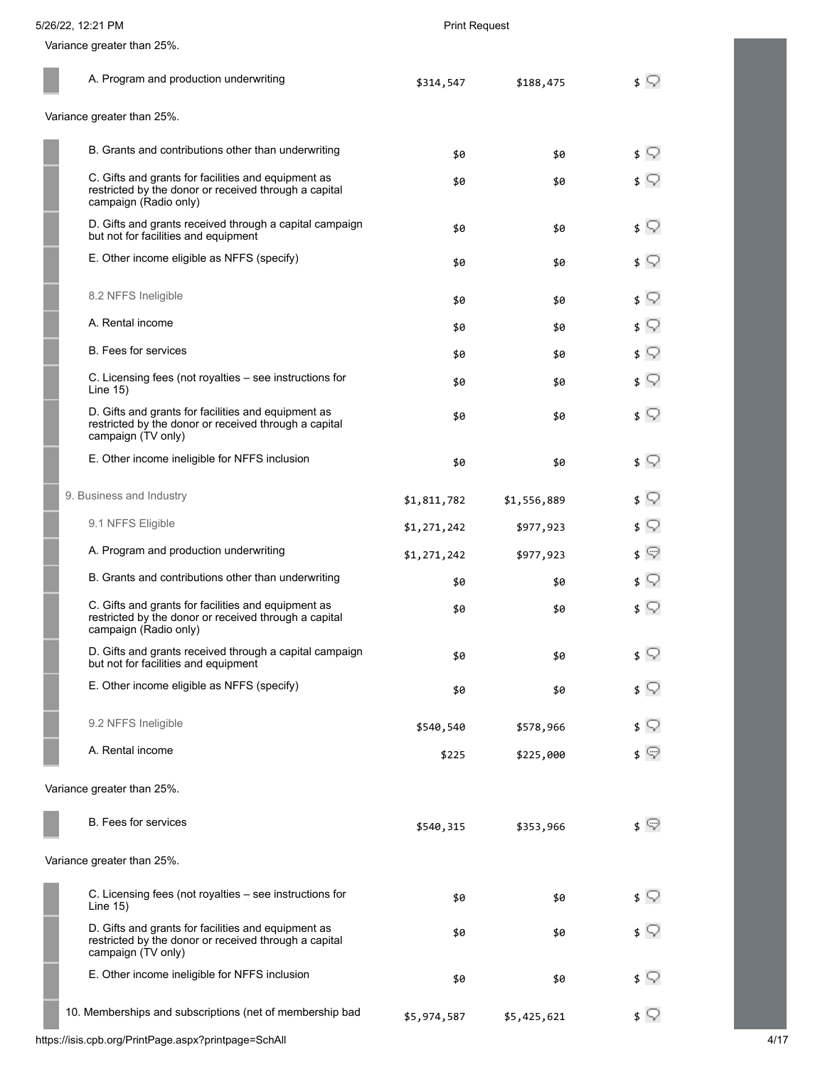| 5/26/22, 12:21 PM | <b>Print Request</b> |
|-------------------|----------------------|

Variance greater than 25%.

| A. Program and production underwriting |                                                                                                                                       | \$314,547   | \$188,475   | s V                          |
|----------------------------------------|---------------------------------------------------------------------------------------------------------------------------------------|-------------|-------------|------------------------------|
|                                        | Variance greater than 25%.                                                                                                            |             |             |                              |
|                                        | B. Grants and contributions other than underwriting                                                                                   | \$0         | \$0         | ≴ ू                          |
|                                        | C. Gifts and grants for facilities and equipment as<br>restricted by the donor or received through a capital<br>campaign (Radio only) | \$0         | \$0         | ≴ ू                          |
|                                        | D. Gifts and grants received through a capital campaign<br>but not for facilities and equipment                                       | \$0         | \$0         | \$ V                         |
|                                        | E. Other income eligible as NFFS (specify)                                                                                            | \$0         | \$0         | ≴ ू                          |
|                                        | 8.2 NFFS Ineligible                                                                                                                   | \$0         | \$0         | \$ ?                         |
|                                        | A. Rental income                                                                                                                      | \$0         | \$0         | \$ ?                         |
|                                        | B. Fees for services                                                                                                                  | \$0         | \$0         | \$ ?                         |
|                                        | C. Licensing fees (not royalties - see instructions for<br>Line 15)                                                                   | \$0         | \$0         | \$ V                         |
|                                        | D. Gifts and grants for facilities and equipment as<br>restricted by the donor or received through a capital<br>campaign (TV only)    | \$0         | \$0         | \$ V                         |
|                                        | E. Other income ineligible for NFFS inclusion                                                                                         | \$0         | \$0         | \$ V                         |
|                                        | 9. Business and Industry                                                                                                              | \$1,811,782 | \$1,556,889 | \$ V                         |
|                                        | 9.1 NFFS Eligible                                                                                                                     | \$1,271,242 | \$977,923   | \$ V                         |
|                                        | A. Program and production underwriting                                                                                                | \$1,271,242 | \$977,923   | \$ ☞                         |
|                                        | B. Grants and contributions other than underwriting                                                                                   | \$0         | \$0         | $\mathfrak{s} \; \mathbb{Q}$ |
|                                        | C. Gifts and grants for facilities and equipment as<br>restricted by the donor or received through a capital<br>campaign (Radio only) | \$0         | \$0         | \$ ?                         |
|                                        | D. Gifts and grants received through a capital campaign<br>but not for facilities and equipment                                       | \$0         | \$0         | \$ 52                        |
|                                        | E. Other income eligible as NFFS (specify)                                                                                            | \$0         | \$0         | s V                          |
|                                        | 9.2 NFFS Ineligible                                                                                                                   | \$540,540   | \$578,966   | \$ Y                         |
|                                        | A. Rental income                                                                                                                      | \$225       | \$225,000   | \$ ©                         |
|                                        | Variance greater than 25%.                                                                                                            |             |             |                              |
|                                        | <b>B.</b> Fees for services                                                                                                           | \$540,315   | \$353,966   | \$ ©                         |
|                                        | Variance greater than 25%.                                                                                                            |             |             |                              |
|                                        | C. Licensing fees (not royalties – see instructions for<br>Line $15$ )                                                                | \$0         | \$0         | \$ V                         |
|                                        | D. Gifts and grants for facilities and equipment as<br>restricted by the donor or received through a capital<br>campaign (TV only)    | \$0         | \$0         | $\sqrt{ }$                   |
|                                        | E. Other income ineligible for NFFS inclusion                                                                                         | \$0         | \$0         | s V                          |
|                                        | 10. Memberships and subscriptions (net of membership bad                                                                              | \$5,974,587 | \$5,425,621 | ≴ ♡                          |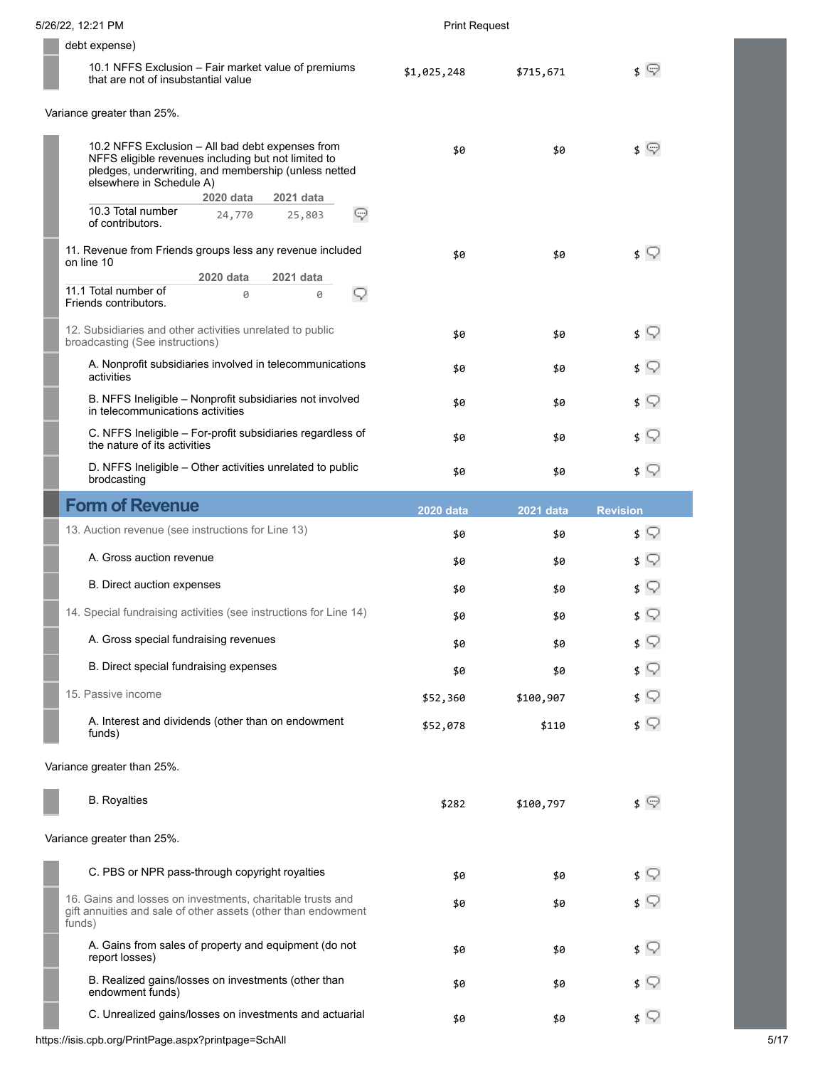| 5/26/22, 12:21 PM                                                                                                                                                                           | <b>Print Request</b> |                  |                              |
|---------------------------------------------------------------------------------------------------------------------------------------------------------------------------------------------|----------------------|------------------|------------------------------|
| debt expense)                                                                                                                                                                               |                      |                  |                              |
| 10.1 NFFS Exclusion - Fair market value of premiums<br>that are not of insubstantial value                                                                                                  | \$1,025,248          | \$715,671        | $\sqrt{ }$                   |
| Variance greater than 25%.                                                                                                                                                                  |                      |                  |                              |
| 10.2 NFFS Exclusion - All bad debt expenses from<br>NFFS eligible revenues including but not limited to<br>pledges, underwriting, and membership (unless netted<br>elsewhere in Schedule A) | \$0                  | \$0              | $\sqrt{ }$                   |
| 2020 data<br>2021 data<br>10.3 Total number<br>24,770<br>Q<br>25,803<br>of contributors.                                                                                                    |                      |                  |                              |
| 11. Revenue from Friends groups less any revenue included<br>on line 10<br>2020 data<br>2021 data                                                                                           | \$0                  | \$0              | $\sqrt{ }$                   |
| 11.1 Total number of<br>9<br>0<br>0<br>Friends contributors.                                                                                                                                |                      |                  |                              |
| 12. Subsidiaries and other activities unrelated to public<br>broadcasting (See instructions)                                                                                                | \$0                  | \$0              | ≴ ू                          |
| A. Nonprofit subsidiaries involved in telecommunications<br>activities                                                                                                                      | \$0                  | \$0              | \$ ?                         |
| B. NFFS Ineligible - Nonprofit subsidiaries not involved<br>in telecommunications activities                                                                                                | \$0                  | \$0              | \$ ?                         |
| C. NFFS Ineligible - For-profit subsidiaries regardless of<br>the nature of its activities                                                                                                  | \$0                  | \$0              | $\mathfrak{s} \; \mathbb{Q}$ |
| D. NFFS Ineligible - Other activities unrelated to public<br>brodcasting                                                                                                                    | \$0                  | \$0              | $\sqrt{ }$                   |
| <b>Form of Revenue</b>                                                                                                                                                                      | <b>2020 data</b>     | <b>2021 data</b> | <b>Revision</b>              |
| 13. Auction revenue (see instructions for Line 13)                                                                                                                                          | \$0                  | \$0              | ≴ ू                          |
| A. Gross auction revenue                                                                                                                                                                    | \$0                  | \$0              | \$Q                          |
| B. Direct auction expenses                                                                                                                                                                  | \$0                  | \$0              | $\sqrt{ }$                   |
| 14. Special fundraising activities (see instructions for Line 14)                                                                                                                           | \$0                  | \$0              | $\sqrt{ }$                   |
| A. Gross special fundraising revenues                                                                                                                                                       | \$0                  | \$0              | $\mathfrak{s} \; \mathbb{Q}$ |
| B. Direct special fundraising expenses                                                                                                                                                      | \$0                  | \$0              | ≴ ू                          |
| 15. Passive income                                                                                                                                                                          | \$52,360             | \$100,907        | $\sqrt{ }$                   |
| A. Interest and dividends (other than on endowment<br>funds)                                                                                                                                | \$52,078             | \$110            | $\sqrt{ }$                   |
| Variance greater than 25%.                                                                                                                                                                  |                      |                  |                              |
| <b>B.</b> Royalties                                                                                                                                                                         | \$282                | \$100,797        | \$ ©                         |
| Variance greater than 25%.                                                                                                                                                                  |                      |                  |                              |
| C. PBS or NPR pass-through copyright royalties                                                                                                                                              | \$0                  | \$0              | ≴ ू                          |
| 16. Gains and losses on investments, charitable trusts and<br>gift annuities and sale of other assets (other than endowment<br>funds)                                                       | \$0                  | \$0              | $\sqrt{ }$                   |
| A. Gains from sales of property and equipment (do not<br>report losses)                                                                                                                     | \$0                  | \$0              | $\sqrt{ }$                   |
| B. Realized gains/losses on investments (other than<br>endowment funds)                                                                                                                     | \$0                  | \$0              | ≴ ♡                          |
| C. Unrealized gains/losses on investments and actuarial                                                                                                                                     | \$0                  | \$0              | $\sqrt{ }$                   |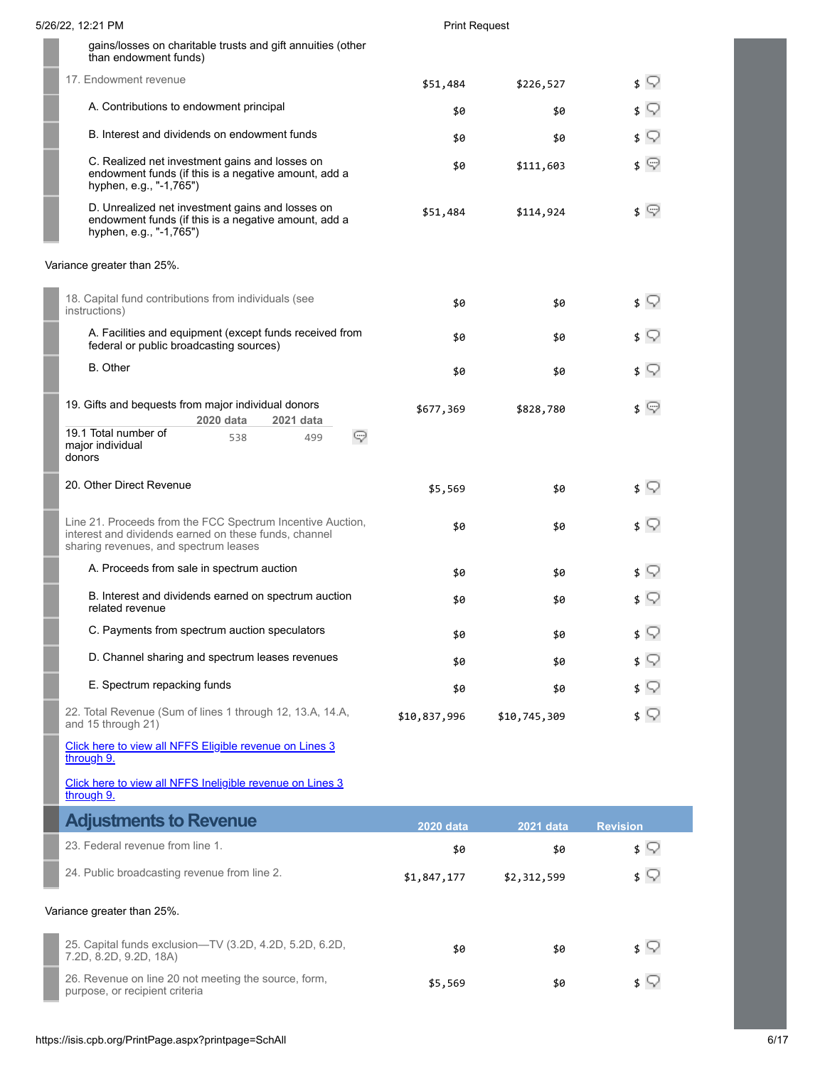| 5/26/22, 12:21 PM                                                                                                                                            | <b>Print Request</b> |              |                 |
|--------------------------------------------------------------------------------------------------------------------------------------------------------------|----------------------|--------------|-----------------|
| gains/losses on charitable trusts and gift annuities (other<br>than endowment funds)                                                                         |                      |              |                 |
| 17. Endowment revenue                                                                                                                                        | \$51,484             | \$226,527    | $\sqrt{ }$      |
| A. Contributions to endowment principal                                                                                                                      | \$0                  | \$0          | v               |
| B. Interest and dividends on endowment funds                                                                                                                 | \$0                  | \$0          | Q<br>\$         |
| C. Realized net investment gains and losses on<br>endowment funds (if this is a negative amount, add a<br>hyphen, e.g., "-1,765")                            | \$0                  | \$111,603    | \$ ©            |
| D. Unrealized net investment gains and losses on<br>endowment funds (if this is a negative amount, add a<br>hyphen, e.g., "-1,765")                          | \$51,484             | \$114,924    | \$ ©            |
| Variance greater than 25%.                                                                                                                                   |                      |              |                 |
| 18. Capital fund contributions from individuals (see<br>instructions)                                                                                        | \$0                  | \$0          | \$ V            |
| A. Facilities and equipment (except funds received from<br>federal or public broadcasting sources)                                                           | \$0                  | \$0          | \$ ?            |
| <b>B.</b> Other                                                                                                                                              | \$0                  | \$0          | \$ ?            |
| 19. Gifts and bequests from major individual donors<br>2020 data<br>2021 data                                                                                | \$677,369            | \$828,780    | ≰ യ             |
| 19.1 Total number of<br>☞<br>538<br>499<br>major individual<br>donors                                                                                        |                      |              |                 |
| 20. Other Direct Revenue                                                                                                                                     | \$5,569              | \$0          | \$ V            |
| Line 21. Proceeds from the FCC Spectrum Incentive Auction,<br>interest and dividends earned on these funds, channel<br>sharing revenues, and spectrum leases | \$0                  | \$0          | \$ V            |
| A. Proceeds from sale in spectrum auction                                                                                                                    | \$0                  | \$0          |                 |
| B. Interest and dividends earned on spectrum auction<br>related revenue                                                                                      | \$0                  | \$0          |                 |
| C. Payments from spectrum auction speculators                                                                                                                | \$0                  | \$0          | \$ ⊊            |
| D. Channel sharing and spectrum leases revenues                                                                                                              | \$0                  | \$0          |                 |
| E. Spectrum repacking funds                                                                                                                                  | \$0                  | \$0          | Q<br>\$         |
| 22. Total Revenue (Sum of lines 1 through 12, 13.A, 14.A,<br>and 15 through 21)                                                                              | \$10,837,996         | \$10,745,309 | \$ V            |
| Click here to view all NFFS Eligible revenue on Lines 3<br>through 9.                                                                                        |                      |              |                 |
| Click here to view all NFFS Ineligible revenue on Lines 3<br>through 9.                                                                                      |                      |              |                 |
| <b>Adjustments to Revenue</b>                                                                                                                                | <b>2020 data</b>     | 2021 data    | <b>Revision</b> |
| 23. Federal revenue from line 1.                                                                                                                             | \$0                  | \$0          | \$ V            |
| 24. Public broadcasting revenue from line 2.                                                                                                                 | \$1,847,177          | \$2,312,599  | \$ V            |
| Variance greater than 25%.                                                                                                                                   |                      |              |                 |
| 25. Capital funds exclusion-TV (3.2D, 4.2D, 5.2D, 6.2D,<br>7.2D, 8.2D, 9.2D, 18A)                                                                            | \$0                  | \$0          | $\sqrt{ }$      |
| 26. Revenue on line 20 not meeting the source, form,<br>purpose, or recipient criteria                                                                       | \$5,569              | \$0          | s V             |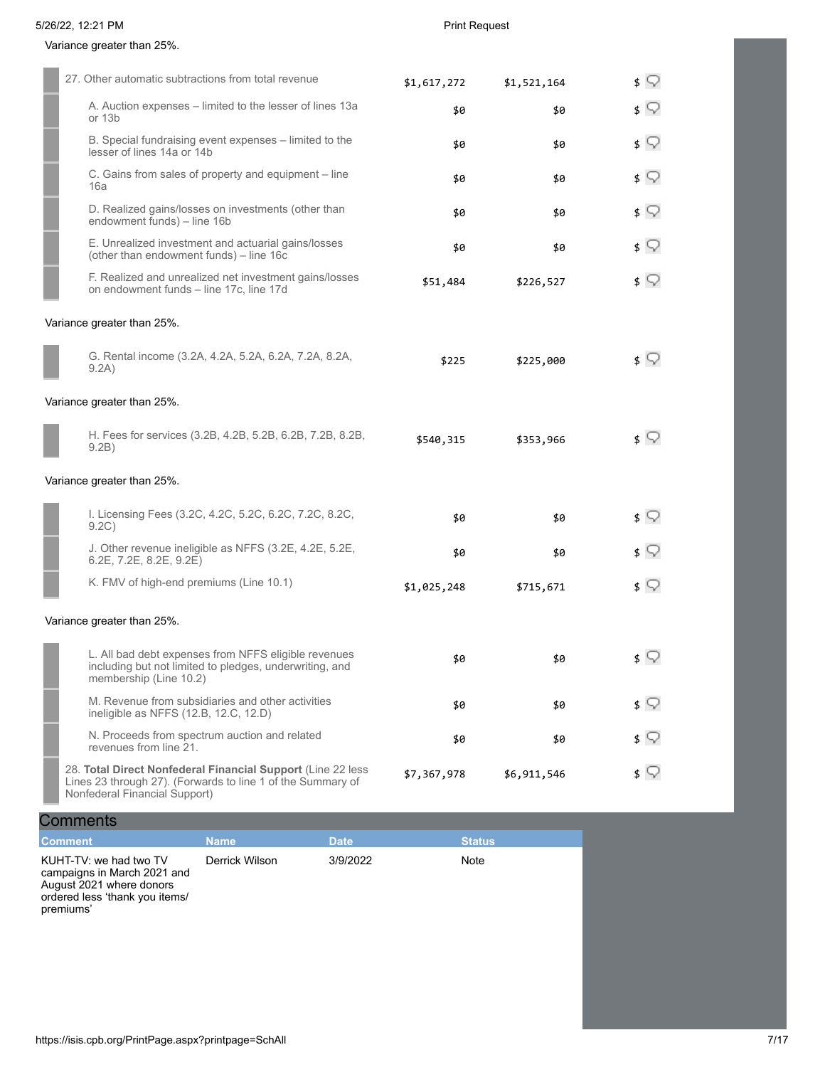ı

Г 

# Variance greater than 25%.

| 27. Other automatic subtractions from total revenue                                                                                                          | \$1,617,272 | \$1,521,164 | ≴ ♡        |
|--------------------------------------------------------------------------------------------------------------------------------------------------------------|-------------|-------------|------------|
| A. Auction expenses - limited to the lesser of lines 13a<br>or 13b                                                                                           | \$0         | \$0         | ≴ ⊊        |
| B. Special fundraising event expenses - limited to the<br>lesser of lines 14a or 14b                                                                         | \$0         | \$0         | \$ V       |
| C. Gains from sales of property and equipment - line<br>16a                                                                                                  | \$0         | \$0         | ≴ ⊊        |
| D. Realized gains/losses on investments (other than<br>endowment funds) - line 16b                                                                           | \$0         | \$0         | \$ ?       |
| E. Unrealized investment and actuarial gains/losses<br>(other than endowment funds) - line 16c                                                               | \$0         | \$0         | ≴ ⊊        |
| F. Realized and unrealized net investment gains/losses<br>on endowment funds - line 17c, line 17d                                                            | \$51,484    | \$226,527   | \$ V       |
| Variance greater than 25%.                                                                                                                                   |             |             |            |
| G. Rental income (3.2A, 4.2A, 5.2A, 6.2A, 7.2A, 8.2A,<br>9.2A)                                                                                               | \$225       | \$225,000   | ≴ ू        |
| Variance greater than 25%.                                                                                                                                   |             |             |            |
| H. Fees for services (3.2B, 4.2B, 5.2B, 6.2B, 7.2B, 8.2B,<br>9.2B)                                                                                           | \$540,315   | \$353,966   | ≰ ⊊        |
| Variance greater than 25%.                                                                                                                                   |             |             |            |
| I. Licensing Fees (3.2C, 4.2C, 5.2C, 6.2C, 7.2C, 8.2C,<br>9.2C)                                                                                              | \$0         | \$0         | ≴ ⊊        |
| J. Other revenue ineligible as NFFS (3.2E, 4.2E, 5.2E,<br>6.2E, 7.2E, 8.2E, 9.2E)                                                                            | \$0         | \$0         | ≴ ू        |
| K. FMV of high-end premiums (Line 10.1)                                                                                                                      | \$1,025,248 | \$715,671   | $\sqrt{ }$ |
| Variance greater than 25%.                                                                                                                                   |             |             |            |
| L. All bad debt expenses from NFFS eligible revenues<br>including but not limited to pledges, underwriting, and<br>membership (Line 10.2)                    | \$0         | \$0         | \$ ⊊       |
| M. Revenue from subsidiaries and other activities<br>ineligible as NFFS (12.B, 12.C, 12.D)                                                                   | \$0         | \$0         | ≴ ⊊        |
| N. Proceeds from spectrum auction and related<br>revenues from line 21.                                                                                      | \$0         | \$0         | ≴ ू        |
| 28. Total Direct Nonfederal Financial Support (Line 22 less)<br>Lines 23 through 27). (Forwards to line 1 of the Summary of<br>Nonfederal Financial Support) | \$7,367,978 | \$6,911,546 | ≴ ⊊        |

| <b>Comments</b> |      |      |        |
|-----------------|------|------|--------|
| <b>Comment</b>  | Name | Date | Status |

| KUHT-TV: we had two TV<br>campaigns in March 2021 and<br>August 2021 where donors<br>ordered less 'thank you items/<br>premiums' | Derrick Wilson | 3/9/2022 | Note |
|----------------------------------------------------------------------------------------------------------------------------------|----------------|----------|------|
|                                                                                                                                  |                |          |      |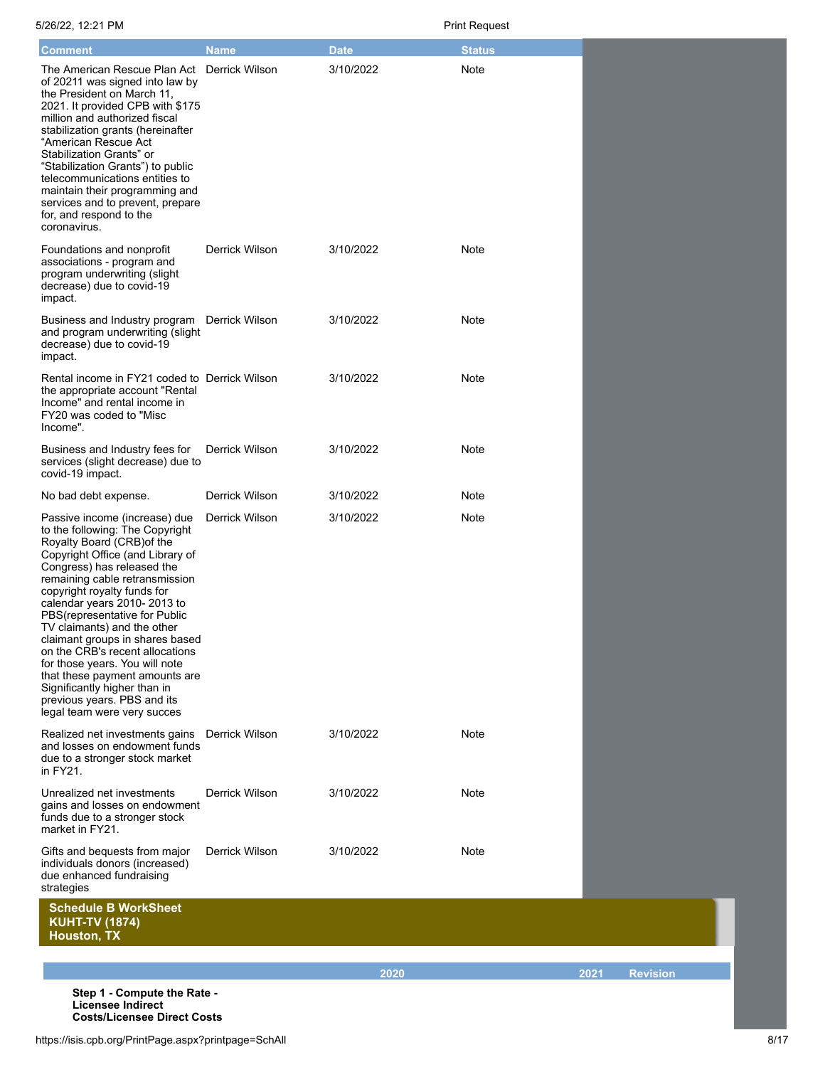| <b>Comment</b>                                                                                                                                                                                                                                                                                                                                                                                                                                                                                                                                                           | <b>Name</b>           | <b>Date</b> | <b>Status</b> |      |                 |
|--------------------------------------------------------------------------------------------------------------------------------------------------------------------------------------------------------------------------------------------------------------------------------------------------------------------------------------------------------------------------------------------------------------------------------------------------------------------------------------------------------------------------------------------------------------------------|-----------------------|-------------|---------------|------|-----------------|
| The American Rescue Plan Act<br>of 20211 was signed into law by<br>the President on March 11,<br>2021. It provided CPB with \$175<br>million and authorized fiscal<br>stabilization grants (hereinafter<br>"American Rescue Act<br>Stabilization Grants" or<br>"Stabilization Grants") to public<br>telecommunications entities to<br>maintain their programming and<br>services and to prevent, prepare<br>for, and respond to the<br>coronavirus.                                                                                                                      | <b>Derrick Wilson</b> | 3/10/2022   | Note          |      |                 |
| Foundations and nonprofit<br>associations - program and<br>program underwriting (slight<br>decrease) due to covid-19<br>impact.                                                                                                                                                                                                                                                                                                                                                                                                                                          | Derrick Wilson        | 3/10/2022   | Note          |      |                 |
| Business and Industry program<br>and program underwriting (slight<br>decrease) due to covid-19<br>impact.                                                                                                                                                                                                                                                                                                                                                                                                                                                                | Derrick Wilson        | 3/10/2022   | Note          |      |                 |
| Rental income in FY21 coded to Derrick Wilson<br>the appropriate account "Rental<br>Income" and rental income in<br>FY20 was coded to "Misc<br>Income".                                                                                                                                                                                                                                                                                                                                                                                                                  |                       | 3/10/2022   | Note          |      |                 |
| Business and Industry fees for<br>services (slight decrease) due to<br>covid-19 impact.                                                                                                                                                                                                                                                                                                                                                                                                                                                                                  | Derrick Wilson        | 3/10/2022   | Note          |      |                 |
| No bad debt expense.                                                                                                                                                                                                                                                                                                                                                                                                                                                                                                                                                     | Derrick Wilson        | 3/10/2022   | Note          |      |                 |
| Passive income (increase) due<br>to the following: The Copyright<br>Royalty Board (CRB) of the<br>Copyright Office (and Library of<br>Congress) has released the<br>remaining cable retransmission<br>copyright royalty funds for<br>calendar years 2010-2013 to<br>PBS(representative for Public<br>TV claimants) and the other<br>claimant groups in shares based<br>on the CRB's recent allocations<br>for those years. You will note<br>that these payment amounts are<br>Significantly higher than in<br>previous years. PBS and its<br>legal team were very succes | Derrick Wilson        | 3/10/2022   | Note          |      |                 |
| Realized net investments gains<br>and losses on endowment funds<br>due to a stronger stock market<br>in FY21.                                                                                                                                                                                                                                                                                                                                                                                                                                                            | Derrick Wilson        | 3/10/2022   | Note          |      |                 |
| Unrealized net investments<br>gains and losses on endowment<br>funds due to a stronger stock<br>market in FY21.                                                                                                                                                                                                                                                                                                                                                                                                                                                          | Derrick Wilson        | 3/10/2022   | Note          |      |                 |
| Gifts and bequests from major<br>individuals donors (increased)<br>due enhanced fundraising<br>strategies                                                                                                                                                                                                                                                                                                                                                                                                                                                                | Derrick Wilson        | 3/10/2022   | Note          |      |                 |
| <b>Schedule B WorkSheet</b><br><b>KUHT-TV (1874)</b><br>Houston, TX                                                                                                                                                                                                                                                                                                                                                                                                                                                                                                      |                       |             |               |      |                 |
|                                                                                                                                                                                                                                                                                                                                                                                                                                                                                                                                                                          |                       |             |               |      |                 |
|                                                                                                                                                                                                                                                                                                                                                                                                                                                                                                                                                                          |                       |             |               |      |                 |
| Step 1 - Compute the Rate -<br><b>Licensee Indirect</b><br><b>Costs/Licensee Direct Costs</b>                                                                                                                                                                                                                                                                                                                                                                                                                                                                            |                       |             | 2020          | 2021 | <b>Revision</b> |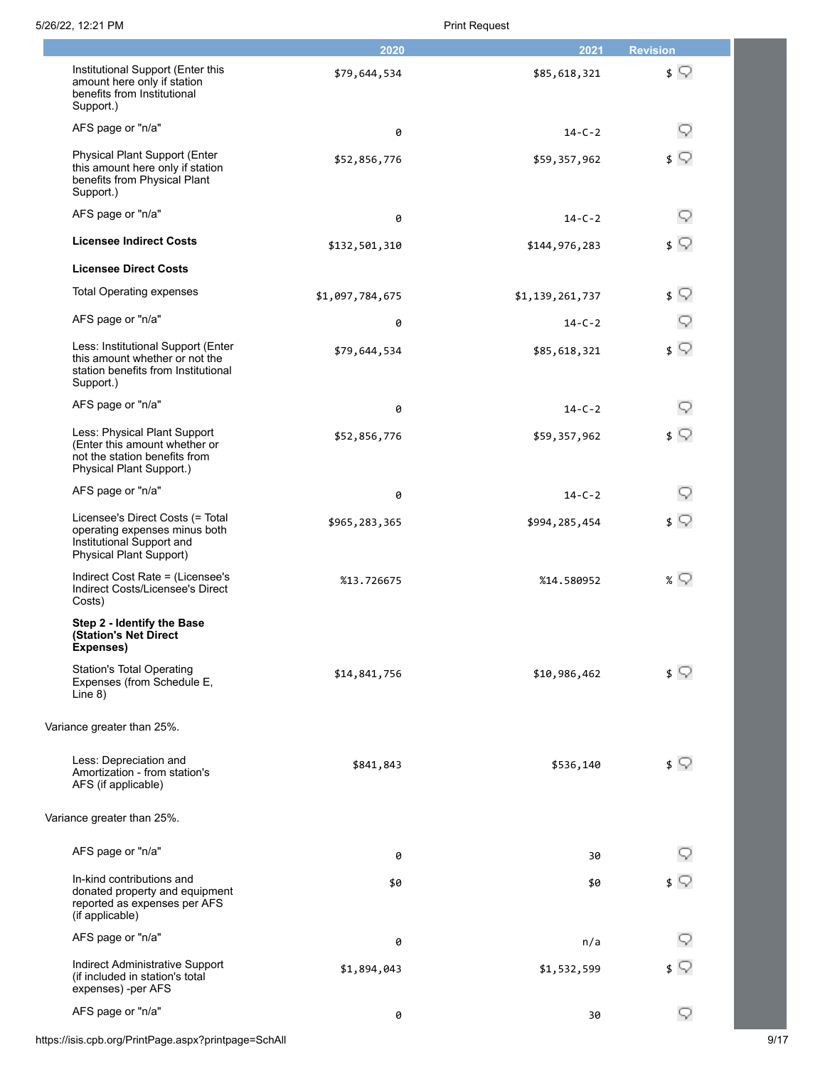| 5/26/22, 12:21 PM |  |
|-------------------|--|
|                   |  |

## Print Request

|                                                                                                                                  | 2020            | 2021            | <b>Revision</b> |
|----------------------------------------------------------------------------------------------------------------------------------|-----------------|-----------------|-----------------|
| Institutional Support (Enter this<br>amount here only if station<br>benefits from Institutional<br>Support.)                     | \$79,644,534    | \$85,618,321    | $\sqrt{ }$      |
| AFS page or "n/a"                                                                                                                | 0               | $14 - C - 2$    | 9               |
| Physical Plant Support (Enter<br>this amount here only if station<br>benefits from Physical Plant<br>Support.)                   | \$52,856,776    | \$59,357,962    | $\sqrt{ }$      |
| AFS page or "n/a"                                                                                                                | 0               | $14 - C - 2$    | 9               |
| <b>Licensee Indirect Costs</b>                                                                                                   | \$132,501,310   | \$144,976,283   | $\sqrt{ }$      |
| <b>Licensee Direct Costs</b>                                                                                                     |                 |                 |                 |
| <b>Total Operating expenses</b>                                                                                                  | \$1,097,784,675 | \$1,139,261,737 | $\sqrt{ }$      |
| AFS page or "n/a"                                                                                                                | 0               | $14 - C - 2$    | Q               |
| Less: Institutional Support (Enter<br>this amount whether or not the<br>station benefits from Institutional<br>Support.)         | \$79,644,534    | \$85,618,321    | $\sqrt{ }$      |
| AFS page or "n/a"                                                                                                                | 0               | $14 - C - 2$    | Q               |
| Less: Physical Plant Support<br>(Enter this amount whether or<br>not the station benefits from<br>Physical Plant Support.)       | \$52,856,776    | \$59,357,962    | $\sqrt{ }$      |
| AFS page or "n/a"                                                                                                                | 0               | $14 - C - 2$    | 9               |
| Licensee's Direct Costs (= Total<br>operating expenses minus both<br>Institutional Support and<br><b>Physical Plant Support)</b> | \$965,283,365   | \$994,285,454   | $\sqrt{ }$      |
| Indirect Cost Rate = (Licensee's<br>Indirect Costs/Licensee's Direct<br>Costs)                                                   | %13.726675      | %14.580952      | $\frac{1}{2}$   |
| Step 2 - Identify the Base<br>(Station's Net Direct<br>Expenses)<br><b>Station's Total Operating</b>                             | \$14,841,756    | \$10,986,462    | ≴ ू             |
| Expenses (from Schedule E,<br>Line $8)$                                                                                          |                 |                 |                 |
| Variance greater than 25%.                                                                                                       |                 |                 |                 |
| Less: Depreciation and<br>Amortization - from station's<br>AFS (if applicable)                                                   | \$841,843       | \$536,140       | $\sqrt{ }$      |
| Variance greater than 25%.                                                                                                       |                 |                 |                 |
| AFS page or "n/a"                                                                                                                | 0               | 30              |                 |
| In-kind contributions and<br>donated property and equipment<br>reported as expenses per AFS<br>(if applicable)                   | \$0             | \$0             | $\sqrt{ }$      |
| AFS page or "n/a"                                                                                                                | 0               | n/a             | 9               |
| Indirect Administrative Support<br>(if included in station's total<br>expenses) -per AFS                                         | \$1,894,043     | \$1,532,599     | $\sqrt{ }$      |
| AFS page or "n/a"                                                                                                                | 0               | 30              | 9               |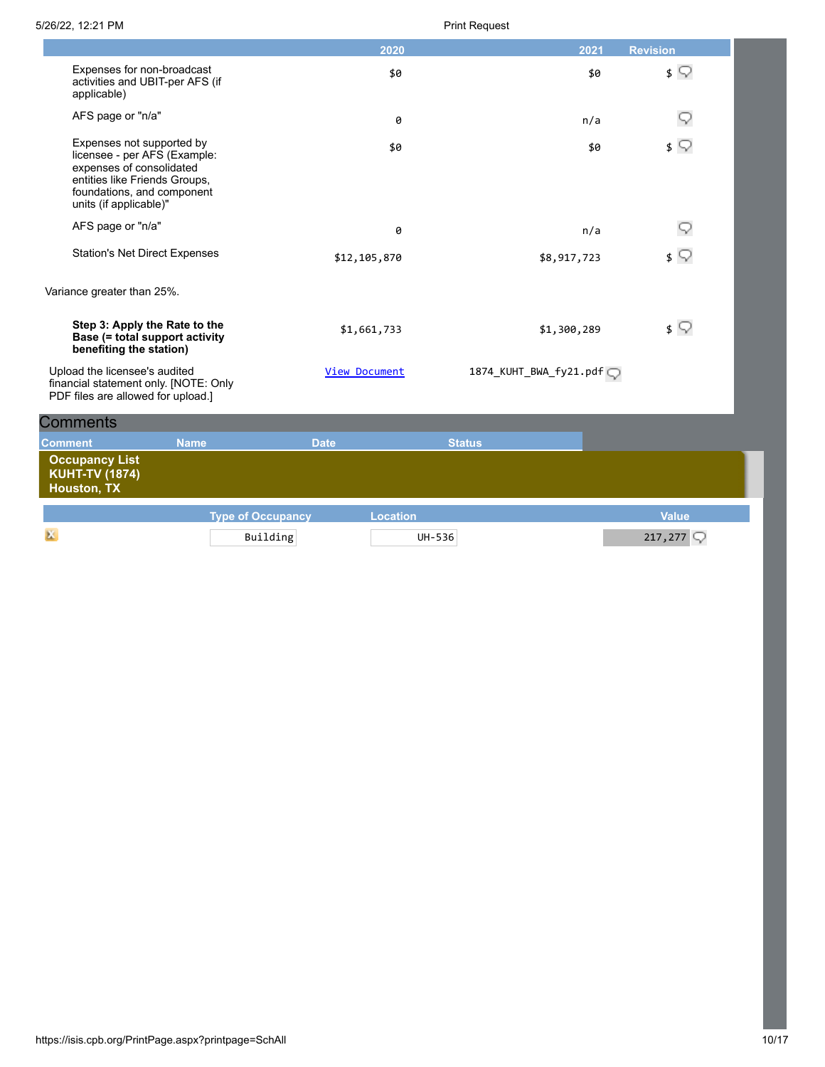|                    |                                                                                                                                                                                |                          |               | 2020            |                        |             | 2021 | <b>Revision</b> |  |
|--------------------|--------------------------------------------------------------------------------------------------------------------------------------------------------------------------------|--------------------------|---------------|-----------------|------------------------|-------------|------|-----------------|--|
|                    | Expenses for non-broadcast<br>activities and UBIT-per AFS (if<br>applicable)                                                                                                   |                          |               | \$0             |                        |             | \$0  | $\sqrt{ }$      |  |
|                    | AFS page or "n/a"                                                                                                                                                              |                          |               | 0               |                        |             | n/a  | Q               |  |
|                    | Expenses not supported by<br>licensee - per AFS (Example:<br>expenses of consolidated<br>entities like Friends Groups,<br>foundations, and component<br>units (if applicable)" |                          |               | \$0             |                        |             | \$0  | $\sqrt{ }$      |  |
|                    | AFS page or "n/a"                                                                                                                                                              |                          |               | 0               |                        |             | n/a  |                 |  |
|                    | <b>Station's Net Direct Expenses</b>                                                                                                                                           |                          | \$12,105,870  |                 |                        | \$8,917,723 |      | $\sqrt{ }$      |  |
|                    | Variance greater than 25%.                                                                                                                                                     |                          |               |                 |                        |             |      |                 |  |
|                    | Step 3: Apply the Rate to the<br>Base (= total support activity<br>benefiting the station)                                                                                     |                          |               | \$1,661,733     |                        | \$1,300,289 |      | $\sqrt{ }$      |  |
|                    | Upload the licensee's audited<br>financial statement only. [NOTE: Only<br>PDF files are allowed for upload.]                                                                   |                          | View Document |                 | 1874_KUHT_BWA_fy21.pdf |             |      |                 |  |
| <b>Comments</b>    |                                                                                                                                                                                |                          |               |                 |                        |             |      |                 |  |
| <b>Comment</b>     | <b>Name</b>                                                                                                                                                                    |                          | <b>Date</b>   |                 | <b>Status</b>          |             |      |                 |  |
| <b>Houston, TX</b> | <b>Occupancy List</b><br><b>KUHT-TV (1874)</b>                                                                                                                                 |                          |               |                 |                        |             |      |                 |  |
|                    |                                                                                                                                                                                | <b>Type of Occupancy</b> |               | <b>Location</b> |                        |             |      | <b>Value</b>    |  |
| ж                  |                                                                                                                                                                                | Building                 |               | UH-536          |                        |             |      | 217,277         |  |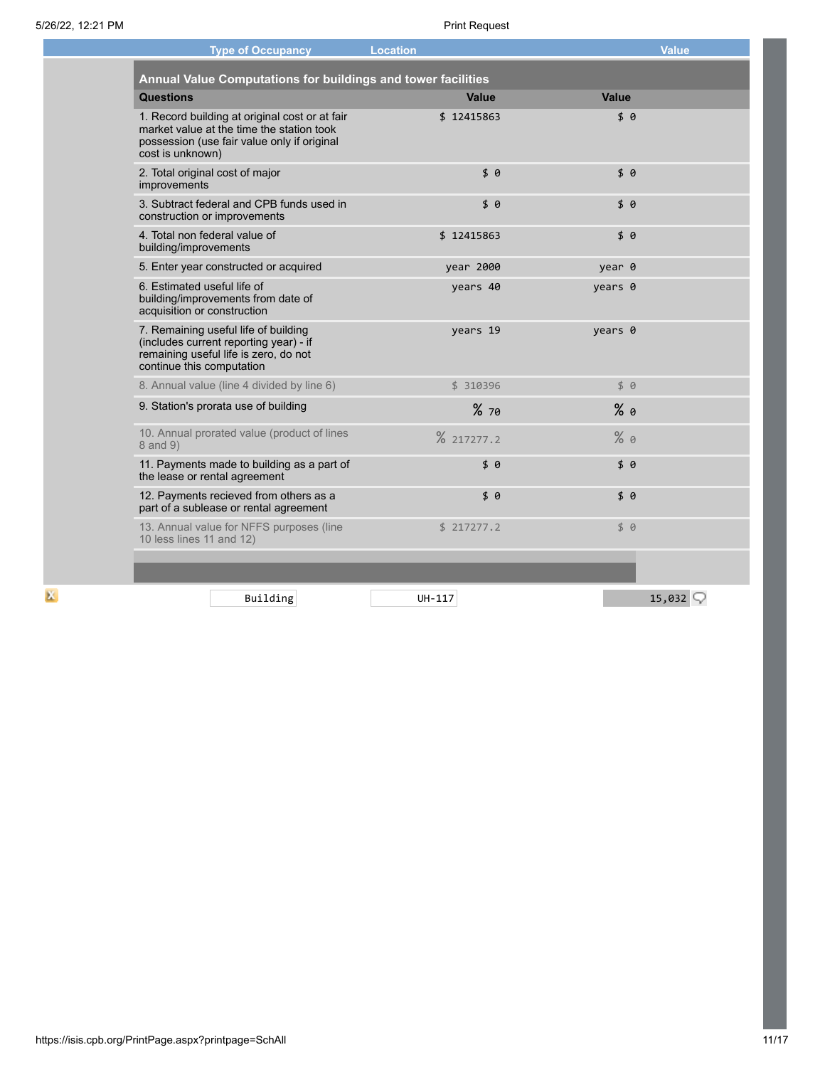| <b>Type of Occupancy</b>                                                                                                                                       | <b>Location</b> |              | <b>Value</b>        |
|----------------------------------------------------------------------------------------------------------------------------------------------------------------|-----------------|--------------|---------------------|
| Annual Value Computations for buildings and tower facilities                                                                                                   |                 |              |                     |
| <b>Questions</b>                                                                                                                                               | Value           | <b>Value</b> |                     |
| 1. Record building at original cost or at fair<br>market value at the time the station took<br>possession (use fair value only if original<br>cost is unknown) | \$12415863      | \$8          |                     |
| 2. Total original cost of major<br>improvements                                                                                                                | \$0             | \$0          |                     |
| 3. Subtract federal and CPB funds used in<br>construction or improvements                                                                                      | \$6             | \$0          |                     |
| 4. Total non federal value of<br>building/improvements                                                                                                         | \$12415863      | \$6          |                     |
| 5. Enter year constructed or acquired                                                                                                                          | year 2000       | year 0       |                     |
| 6. Estimated useful life of<br>building/improvements from date of<br>acquisition or construction                                                               | years 40        | years 0      |                     |
| 7. Remaining useful life of building<br>(includes current reporting year) - if<br>remaining useful life is zero, do not<br>continue this computation           | years 19        | years 0      |                     |
| 8. Annual value (line 4 divided by line 6)                                                                                                                     | \$ 310396       | 50           |                     |
| 9. Station's prorata use of building                                                                                                                           | %70             | $%$ 0        |                     |
| 10. Annual prorated value (product of lines<br>8 and 9)                                                                                                        | % 217277.2      | %9           |                     |
| 11. Payments made to building as a part of<br>the lease or rental agreement                                                                                    | \$ 0            | \$0          |                     |
| 12. Payments recieved from others as a<br>part of a sublease or rental agreement                                                                               | \$0             | \$0          |                     |
| 13. Annual value for NFFS purposes (line<br>10 less lines 11 and 12)                                                                                           | \$217277.2      | \$ 0         |                     |
|                                                                                                                                                                |                 |              |                     |
| Building                                                                                                                                                       | UH-117          |              | 15,032 $\heartsuit$ |

 $\mathbf{K}$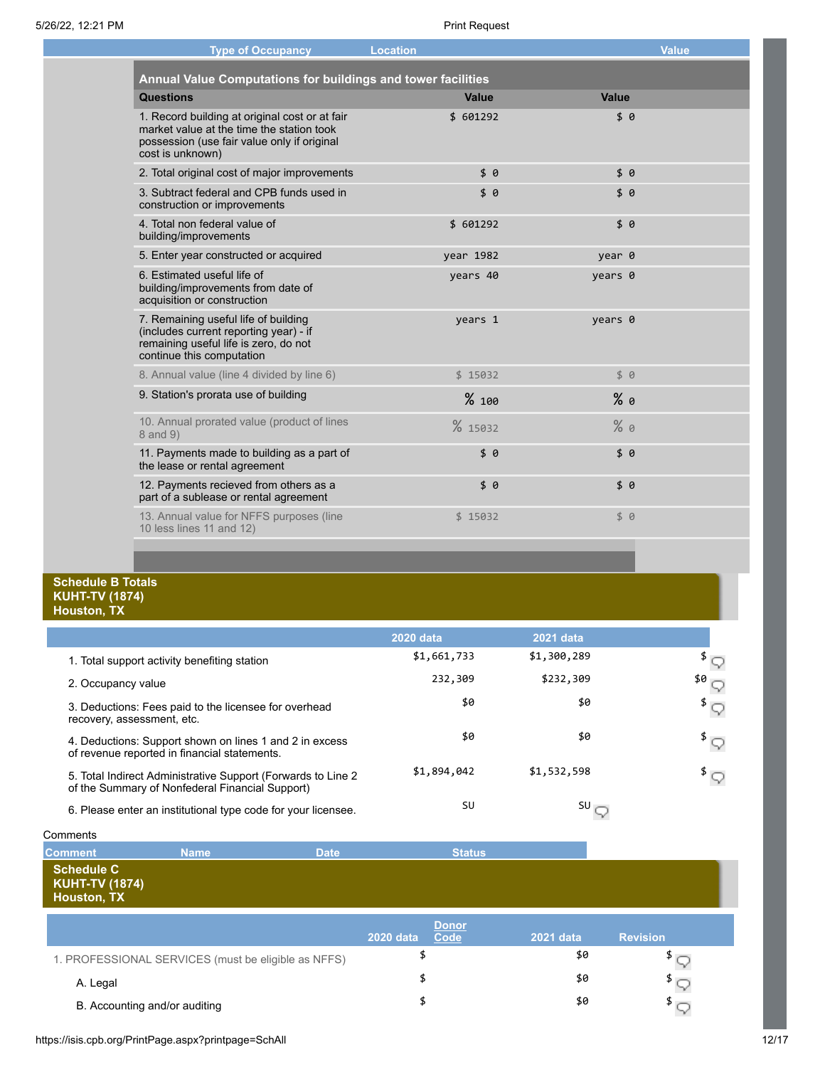| <b>Type of Occupancy</b>                                                                                                                                       | <b>Location</b> |         | <b>Value</b> |
|----------------------------------------------------------------------------------------------------------------------------------------------------------------|-----------------|---------|--------------|
| Annual Value Computations for buildings and tower facilities                                                                                                   |                 |         |              |
| <b>Questions</b>                                                                                                                                               | Value           | Value   |              |
| 1. Record building at original cost or at fair<br>market value at the time the station took<br>possession (use fair value only if original<br>cost is unknown) | \$ 601292       | \$0     |              |
| 2. Total original cost of major improvements                                                                                                                   | \$0             | \$0     |              |
| 3. Subtract federal and CPB funds used in<br>construction or improvements                                                                                      | \$0             | \$9     |              |
| 4. Total non federal value of<br>building/improvements                                                                                                         | \$ 601292       | \$9     |              |
| 5. Enter year constructed or acquired                                                                                                                          | year 1982       | year 0  |              |
| 6. Estimated useful life of<br>building/improvements from date of<br>acquisition or construction                                                               | years 40        | years 0 |              |
| 7. Remaining useful life of building<br>(includes current reporting year) - if<br>remaining useful life is zero, do not<br>continue this computation           | years 1         | years 0 |              |
| 8. Annual value (line 4 divided by line 6)                                                                                                                     | \$15032         | \$ 0    |              |
| 9. Station's prorata use of building                                                                                                                           | %100            | $%$ 0   |              |
| 10. Annual prorated value (product of lines<br>8 and 9)                                                                                                        | % 15032         | %9      |              |
| 11. Payments made to building as a part of<br>the lease or rental agreement                                                                                    | \$6             | \$0     |              |
| 12. Payments recieved from others as a<br>part of a sublease or rental agreement                                                                               | \$0             | \$9     |              |
| 13. Annual value for NFFS purposes (line<br>10 less lines 11 and 12)                                                                                           | \$15032         | \$ 0    |              |
|                                                                                                                                                                |                 |         |              |

## **Schedule B Totals KUHT-TV (1874) Houston, TX**

l.

|                                                                                                                  | <b>2020 data</b> | 2021 data   |        |
|------------------------------------------------------------------------------------------------------------------|------------------|-------------|--------|
| 1. Total support activity benefiting station                                                                     | \$1,661,733      | \$1,300,289 |        |
| 2. Occupancy value                                                                                               | 232,309          | \$232,309   | $50 -$ |
| 3. Deductions: Fees paid to the licensee for overhead<br>recovery, assessment, etc.                              | \$0              | \$0         |        |
| 4. Deductions: Support shown on lines 1 and 2 in excess<br>of revenue reported in financial statements.          | \$0              | \$0         |        |
| 5. Total Indirect Administrative Support (Forwards to Line 2)<br>of the Summary of Nonfederal Financial Support) | \$1,894,042      | \$1,532,598 |        |
| 6. Please enter an institutional type code for your licensee.                                                    | SU               | SU          |        |

| Comments                                                  |             |                                                                                                                                     |                                                            |            |     |  |
|-----------------------------------------------------------|-------------|-------------------------------------------------------------------------------------------------------------------------------------|------------------------------------------------------------|------------|-----|--|
| <b>Comment</b>                                            | <b>Name</b> | <b>Date</b>                                                                                                                         | <b>Status</b>                                              |            |     |  |
| Schedule C<br><b>KUHT-TV (1874)</b><br><b>Houston, TX</b> |             |                                                                                                                                     |                                                            |            |     |  |
|                                                           |             | <b><i>Charles Committee Committee Committee Committee Committee Committee Committee Committee Committee Committee Committee</i></b> | <b>Donor</b><br><b>Contract Contract Contract Contract</b> | __________ | ___ |  |

|                                                     | _______<br><b>2020 data</b><br>Code | 2021 data | <b>Revision</b> |
|-----------------------------------------------------|-------------------------------------|-----------|-----------------|
| 1. PROFESSIONAL SERVICES (must be eligible as NFFS) |                                     | \$0       |                 |
| A. Legal                                            |                                     | \$0       |                 |
| B. Accounting and/or auditing                       |                                     | \$0       |                 |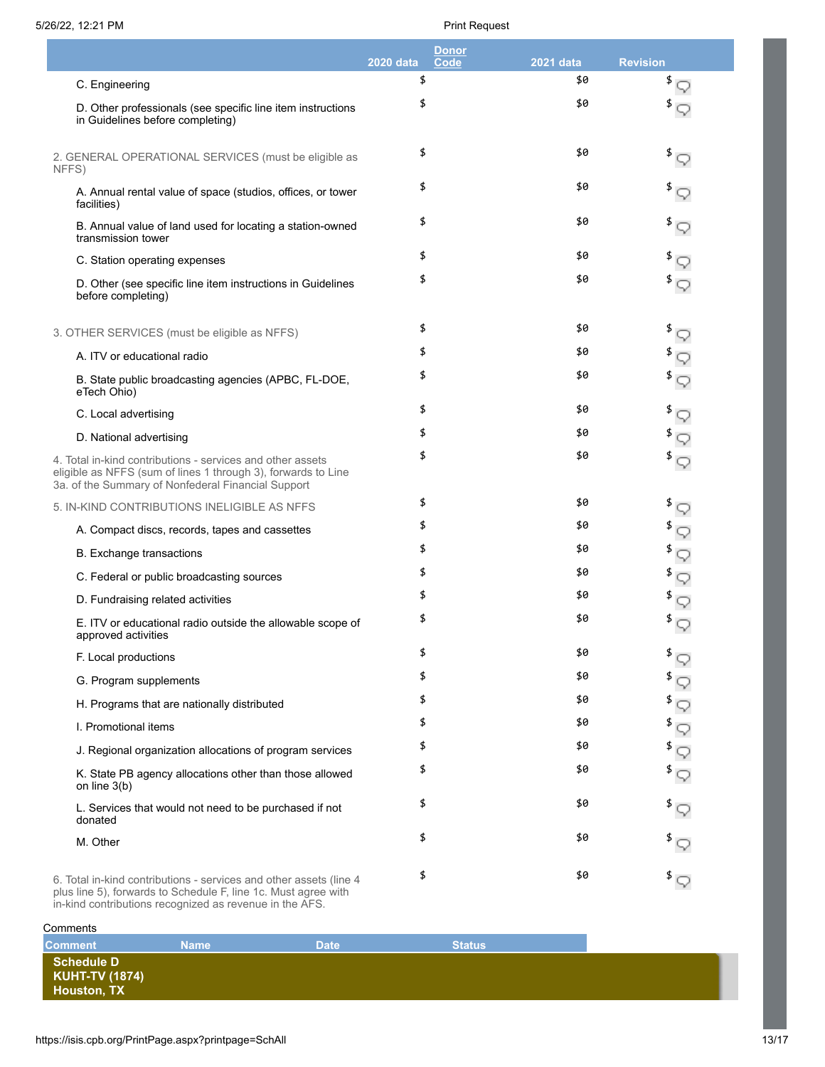|                                                                                                                                                                                   | <b>Donor</b><br><b>Code</b><br><b>2020 data</b> | 2021 data | <b>Revision</b>               |
|-----------------------------------------------------------------------------------------------------------------------------------------------------------------------------------|-------------------------------------------------|-----------|-------------------------------|
| C. Engineering                                                                                                                                                                    | \$                                              | \$0       | \$                            |
| D. Other professionals (see specific line item instructions<br>in Guidelines before completing)                                                                                   | \$                                              | \$0       | $^{\frac{3}{2}}$              |
| 2. GENERAL OPERATIONAL SERVICES (must be eligible as<br>NFFS)                                                                                                                     | \$                                              | \$0       | $\sqrt[3]{\sqrt{2}}$          |
| A. Annual rental value of space (studios, offices, or tower<br>facilities)                                                                                                        | \$                                              | \$0       | \$                            |
| B. Annual value of land used for locating a station-owned<br>transmission tower                                                                                                   | \$                                              | \$0       | \$                            |
| C. Station operating expenses                                                                                                                                                     | \$                                              | \$0       |                               |
| D. Other (see specific line item instructions in Guidelines<br>before completing)                                                                                                 | \$                                              | \$0       | $^{\frac{3}{2}}$              |
| 3. OTHER SERVICES (must be eligible as NFFS)                                                                                                                                      | \$                                              | \$0       | \$<br>$\heartsuit$            |
| A. ITV or educational radio                                                                                                                                                       | \$                                              | \$0       | \$                            |
| B. State public broadcasting agencies (APBC, FL-DOE,<br>eTech Ohio)                                                                                                               | \$                                              | \$0       | $\overline{\mathcal{P}}$      |
| C. Local advertising                                                                                                                                                              | \$                                              | \$0       | \$<br>$\heartsuit$            |
| D. National advertising                                                                                                                                                           | \$                                              | \$0       | \$                            |
| 4. Total in-kind contributions - services and other assets<br>eligible as NFFS (sum of lines 1 through 3), forwards to Line<br>3a. of the Summary of Nonfederal Financial Support | \$                                              | \$0       | $^{\frac{3}{2}}$              |
| 5. IN-KIND CONTRIBUTIONS INELIGIBLE AS NFFS                                                                                                                                       | \$                                              | \$0       | $\sqrt[3]{\sqrt{2}}$          |
| A. Compact discs, records, tapes and cassettes                                                                                                                                    | \$                                              | \$0       | $^{\frac{3}{2}}$              |
| <b>B.</b> Exchange transactions                                                                                                                                                   | \$                                              | \$0       | ∮ ৃ                           |
| C. Federal or public broadcasting sources                                                                                                                                         | \$                                              | \$0       | $\sqrt[3]{\sqrt{2}}$          |
| D. Fundraising related activities                                                                                                                                                 | \$                                              | \$0       | $^{\frac{3}{2}}$              |
| E. ITV or educational radio outside the allowable scope of<br>approved activities                                                                                                 | \$                                              | \$0       | $^{\mathrm{\$}}$ $\heartsuit$ |
| F. Local productions                                                                                                                                                              | \$                                              | \$0       | $\sqrt[3]{\mathbb{Q}}$        |
| G. Program supplements                                                                                                                                                            | \$                                              | \$0       | \$<br>Q                       |
| H. Programs that are nationally distributed                                                                                                                                       | \$                                              | \$0       | $\sqrt[3]{5}$                 |
| I. Promotional items                                                                                                                                                              | \$                                              | \$0       | $^{\frac{3}{2}}$              |
| J. Regional organization allocations of program services                                                                                                                          | \$                                              | \$0       | $\sqrt[3]{5}$                 |
| K. State PB agency allocations other than those allowed<br>on line 3(b)                                                                                                           | \$                                              | \$0       | $^{\frac{3}{2}}$              |
| L. Services that would not need to be purchased if not<br>donated                                                                                                                 | \$                                              | \$0       | $\overline{\mathcal{P}}$      |
| M. Other                                                                                                                                                                          | \$                                              | \$0       | $\overline{\mathcal{F}}$      |
| 6. Total in-kind contributions - services and other assets (line 4<br>plus line 5), forwards to Schedule F, line 1c. Must agree with                                              | \$                                              | \$0       | $\sqrt[3]{5}$                 |

in-kind contributions recognized as revenue in the AFS.

# **Comments Comment Name Date Date Status Schedule D KUHT-TV (1874) Houston, TX**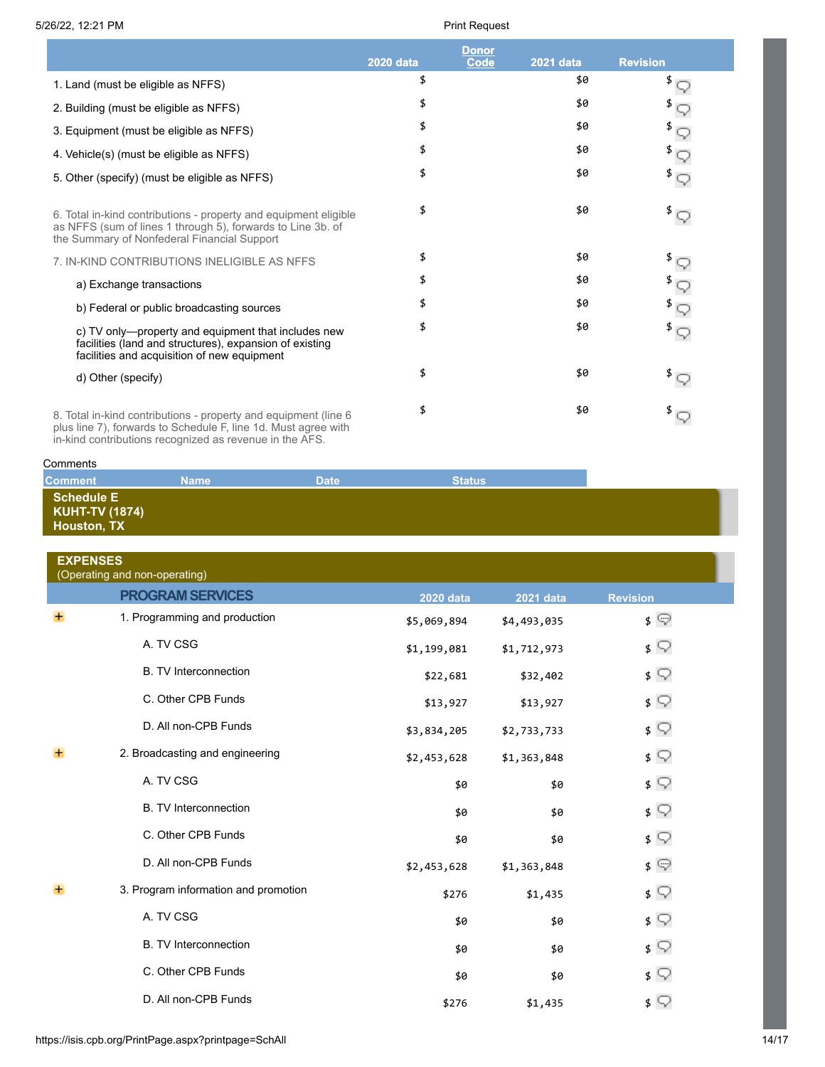|                                                                                                                                                                                              |                  | Donor       |                  |                                     |
|----------------------------------------------------------------------------------------------------------------------------------------------------------------------------------------------|------------------|-------------|------------------|-------------------------------------|
|                                                                                                                                                                                              | <b>2020 data</b> | <b>Code</b> | <b>2021 data</b> | <b>Revision</b>                     |
| 1. Land (must be eligible as NFFS)                                                                                                                                                           | \$               |             | \$0              | \$                                  |
| 2. Building (must be eligible as NFFS)                                                                                                                                                       | \$               |             | \$0              |                                     |
| 3. Equipment (must be eligible as NFFS)                                                                                                                                                      | \$               |             | \$0              |                                     |
| 4. Vehicle(s) (must be eligible as NFFS)                                                                                                                                                     | \$               |             | \$0              |                                     |
| 5. Other (specify) (must be eligible as NFFS)                                                                                                                                                | \$               |             | \$0              | $^{\frac{4}{3}}$                    |
| 6. Total in-kind contributions - property and equipment eligible<br>as NFFS (sum of lines 1 through 5), forwards to Line 3b. of<br>the Summary of Nonfederal Financial Support               | \$               |             | \$0              | $^{\mathrm{\$}}\mathop{\mathbb{Q}}$ |
| 7. IN-KIND CONTRIBUTIONS INELIGIBLE AS NFFS                                                                                                                                                  | \$               |             | \$0              |                                     |
| a) Exchange transactions                                                                                                                                                                     | \$               |             | \$0              |                                     |
| b) Federal or public broadcasting sources                                                                                                                                                    | \$               |             | \$0              |                                     |
| c) TV only—property and equipment that includes new<br>facilities (land and structures), expansion of existing<br>facilities and acquisition of new equipment                                | \$               |             | \$0              | $^{\mathrm{\$}}\mathsf{\lhd}$       |
| d) Other (specify)                                                                                                                                                                           | \$               |             | \$0              | $^{\frac{3}{2}}$                    |
| 8. Total in-kind contributions - property and equipment (line 6<br>plus line 7), forwards to Schedule F, line 1d. Must agree with<br>in-kind contributions recognized as revenue in the AFS. | \$               |             | \$0              | $^{\frac{3}{2}}$                    |

| Comments                            |             |             |               |  |
|-------------------------------------|-------------|-------------|---------------|--|
| <b>Comment</b>                      | <b>Name</b> | <b>Date</b> | <b>Status</b> |  |
| Schedule E<br><b>KUHT-TV (1874)</b> |             |             |               |  |
| Houston, TX                         |             |             |               |  |

| <b>EXPENSES</b><br>(Operating and non-operating) |                                      |                  |             |                 |
|--------------------------------------------------|--------------------------------------|------------------|-------------|-----------------|
|                                                  | <b>PROGRAM SERVICES</b>              | <b>2020 data</b> | 2021 data   | <b>Revision</b> |
| $\pm$                                            | 1. Programming and production        | \$5,069,894      | \$4,493,035 | $\sqrt{ }$      |
|                                                  | A. TV CSG                            | \$1,199,081      | \$1,712,973 | $\sqrt{ }$      |
|                                                  | <b>B.</b> TV Interconnection         | \$22,681         | \$32,402    | $\sqrt{ }$      |
|                                                  | C. Other CPB Funds                   | \$13,927         | \$13,927    | $\sqrt{ }$      |
|                                                  | D. All non-CPB Funds                 | \$3,834,205      | \$2,733,733 | $\sqrt{ }$      |
| $+$                                              | 2. Broadcasting and engineering      | \$2,453,628      | \$1,363,848 | $\sqrt{ }$      |
|                                                  | A. TV CSG                            | \$0              | \$0         | $\sqrt{ }$      |
|                                                  | <b>B.</b> TV Interconnection         | \$0              | \$0         | $\sqrt{ }$      |
|                                                  | C. Other CPB Funds                   | \$0              | \$0         | $\frac{1}{2}$   |
|                                                  | D. All non-CPB Funds                 | \$2,453,628      | \$1,363,848 | $\sqrt{ }$      |
| $+$                                              | 3. Program information and promotion | \$276            | \$1,435     | $\sqrt{ }$      |
|                                                  | A. TV CSG                            | \$0              | \$0         | $\sqrt{ }$      |
|                                                  | <b>B. TV Interconnection</b>         | \$0              | \$0         | $\sqrt{ }$      |
|                                                  | C. Other CPB Funds                   | \$0              | \$0         | $\sqrt{ }$      |
|                                                  | D. All non-CPB Funds                 | \$276            | \$1,435     | $\sqrt{ }$      |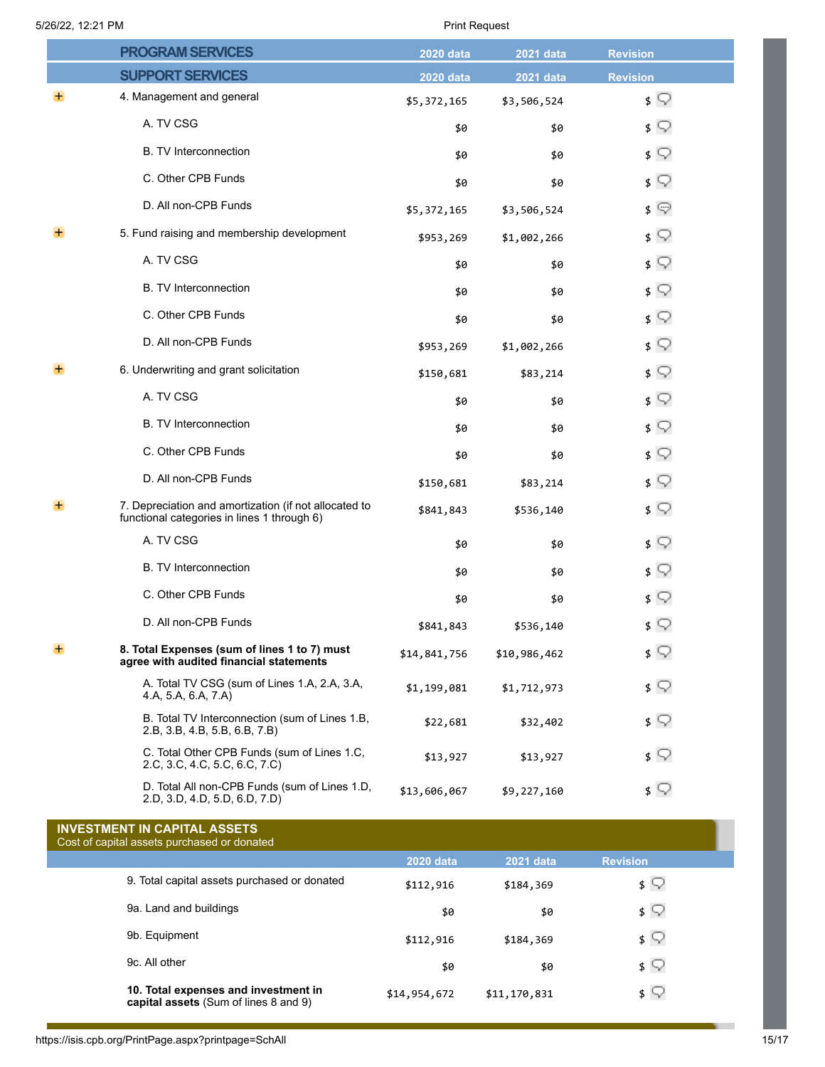|       | <b>PROGRAM SERVICES</b>                                                                              | <b>2020 data</b> | 2021 data    | <b>Revision</b> |
|-------|------------------------------------------------------------------------------------------------------|------------------|--------------|-----------------|
|       | <b>SUPPORT SERVICES</b>                                                                              | <b>2020 data</b> | 2021 data    | <b>Revision</b> |
|       | 4. Management and general                                                                            | \$5,372,165      | \$3,506,524  | $\sqrt{ }$      |
|       | A. TV CSG                                                                                            | \$0              | \$0          | $\sqrt{ }$      |
|       | <b>B.</b> TV Interconnection                                                                         | \$0              | \$0          | \$ ∑            |
|       | C. Other CPB Funds                                                                                   | \$0              | \$0          | $\sqrt{ }$      |
|       | D. All non-CPB Funds                                                                                 | \$5,372,165      | \$3,506,524  | $\sqrt{ }$      |
| $\pm$ | 5. Fund raising and membership development                                                           | \$953,269        | \$1,002,266  | \$ ∑            |
|       | A. TV CSG                                                                                            | \$0              | \$0          | $\sqrt{ }$      |
|       | <b>B.</b> TV Interconnection                                                                         | \$0              | \$0          | \$ ∑            |
|       | C. Other CPB Funds                                                                                   | \$0              | \$0          | \$ ∑            |
|       | D. All non-CPB Funds                                                                                 | \$953,269        | \$1,002,266  | \$ ⊽            |
| $\pm$ | 6. Underwriting and grant solicitation                                                               | \$150,681        | \$83,214     | $\sqrt{ }$      |
|       | A. TV CSG                                                                                            | \$0              | \$0          | $\sqrt{ }$      |
|       | <b>B. TV Interconnection</b>                                                                         | \$0              | \$0          | \$ ∑            |
|       | C. Other CPB Funds                                                                                   | \$0              | \$0          | \$ ∑            |
|       | D. All non-CPB Funds                                                                                 | \$150,681        | \$83,214     | $\sqrt{ }$      |
| ÷     | 7. Depreciation and amortization (if not allocated to<br>functional categories in lines 1 through 6) | \$841,843        | \$536,140    | \$ ∑            |
|       | A. TV CSG                                                                                            | \$0              | \$0          | $\sqrt{ }$      |
|       | <b>B. TV Interconnection</b>                                                                         | \$0              | \$0          | ≴ ⊊             |
|       | C. Other CPB Funds                                                                                   | \$0              | \$0          | \$ ⊽            |
|       | D. All non-CPB Funds                                                                                 | \$841,843        | \$536,140    | \$ ⊽            |
| $\pm$ | 8. Total Expenses (sum of lines 1 to 7) must<br>agree with audited financial statements              | \$14,841,756     | \$10,986,462 | $\sqrt{ }$      |
|       | A. Total TV CSG (sum of Lines 1.A, 2.A, 3.A,<br>4.A, 5.A, 6.A, 7.A)                                  | \$1,199,081      | \$1,712,973  | \$ ∑            |
|       | B. Total TV Interconnection (sum of Lines 1.B,<br>2.B, 3.B, 4.B, 5.B, 6.B, 7.B)                      | \$22,681         | \$32,402     | \$ ∑            |
|       | C. Total Other CPB Funds (sum of Lines 1.C,<br>2.C, 3.C, 4.C, 5.C, 6.C, 7.C)                         | \$13,927         | \$13,927     | \$ ∑            |
|       | D. Total All non-CPB Funds (sum of Lines 1.D.<br>2.D, 3.D, 4.D, 5.D, 6.D, 7.D)                       | \$13,606,067     | \$9,227,160  | \$ ∑            |
|       | <b>INVESTMENT IN CAPITAL ASSETS</b><br>Cost of capital assets purchased or donated                   |                  |              |                 |
|       |                                                                                                      | <b>2020 data</b> | 2021 data    | <b>Revision</b> |
|       | 9. Total capital assets purchased or donated                                                         | \$112,916        | \$184,369    | \$ ∑            |
|       | 9a. Land and buildings                                                                               | \$0              | \$0          | $\sqrt{ }$      |
|       | 9b. Equipment                                                                                        | \$112,916        | \$184,369    | \$ ∑            |
|       | 9c. All other                                                                                        | \$0              | \$0          | ≴ ू             |
|       | 10. Total expenses and investment in<br>capital assets (Sum of lines 8 and 9)                        | \$14,954,672     | \$11,170,831 | \$ ∑            |

https://isis.cpb.org/PrintPage.aspx?printpage=SchAll 15/17

. .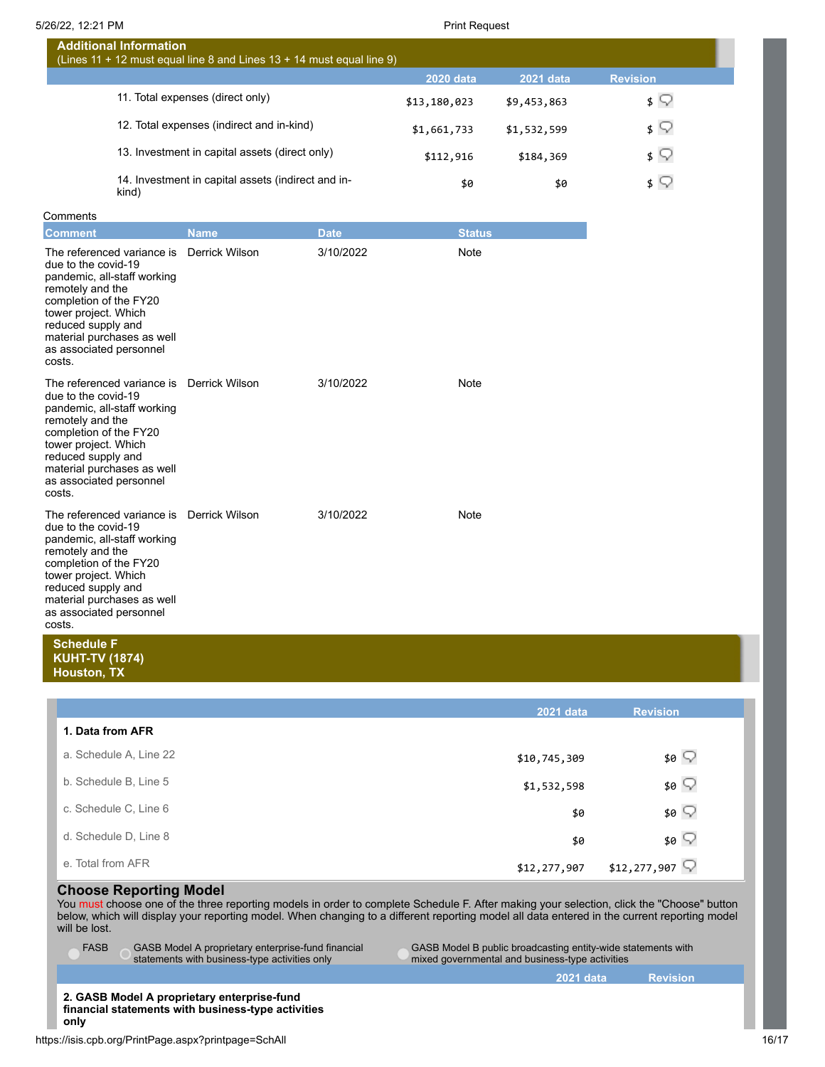| <b>Additional Information</b><br>(Lines 11 + 12 must equal line $\overline{8}$ and Lines 13 + 14 must equal line 9) |                  |                  |                             |  |
|---------------------------------------------------------------------------------------------------------------------|------------------|------------------|-----------------------------|--|
|                                                                                                                     | <b>2020 data</b> | <b>2021 data</b> | <b>Revision</b>             |  |
| 11. Total expenses (direct only)                                                                                    | \$13,180,023     | \$9,453,863      | \$ W                        |  |
| 12. Total expenses (indirect and in-kind)                                                                           | \$1,661,733      | \$1,532,599      | \$ V                        |  |
| 13. Investment in capital assets (direct only)                                                                      | \$112,916        | \$184,369        | $\sqrt{2}$                  |  |
| 14. Investment in capital assets (indirect and in-<br>kind)                                                         | \$0              | \$0              | $\mathsf{s} \mathrel{\cup}$ |  |

### **Comments**

| <b>Comment</b>                                                                                                                                                                                                                                                 | <b>Name</b>    | <b>Date</b> | <b>Status</b> |
|----------------------------------------------------------------------------------------------------------------------------------------------------------------------------------------------------------------------------------------------------------------|----------------|-------------|---------------|
| The referenced variance is<br>due to the covid-19<br>pandemic, all-staff working<br>remotely and the<br>completion of the FY20<br>tower project. Which<br>reduced supply and<br>material purchases as well<br>as associated personnel<br>costs.                | Derrick Wilson | 3/10/2022   | Note          |
| The referenced variance is<br>due to the covid-19<br>pandemic, all-staff working<br>remotely and the<br>completion of the FY20<br>tower project. Which<br>reduced supply and<br>material purchases as well<br>as associated personnel<br>costs.                | Derrick Wilson | 3/10/2022   | Note          |
| The referenced variance is Derrick Wilson<br>due to the covid-19<br>pandemic, all-staff working<br>remotely and the<br>completion of the FY20<br>tower project. Which<br>reduced supply and<br>material purchases as well<br>as associated personnel<br>costs. |                | 3/10/2022   | Note          |

## **Schedule F KUHT-TV (1874) Houston, TX**

|                        | 2021 data    | <b>Revision</b>           |
|------------------------|--------------|---------------------------|
| 1. Data from AFR       |              |                           |
| a. Schedule A, Line 22 | \$10,745,309 | \$0 ∑                     |
| b. Schedule B, Line 5  | \$1,532,598  | \$0 $\heartsuit$          |
| c. Schedule C, Line 6  | \$0          | \$0 $\heartsuit$          |
| d. Schedule D, Line 8  | \$0          | \$0 $\heartsuit$          |
| e. Total from AFR      | \$12,277,907 | \$12,277,907 $\heartsuit$ |

## **Choose Reporting Model**

You must choose one of the three reporting models in order to complete Schedule F. After making your selection, click the "Choose" button below, which will display your reporting model. When changing to a different reporting model all data entered in the current reporting model will be lost.

FASB GASB Model A proprietary enterprise-fund financial statements with business-type activities only

GASB Model B public broadcasting entity-wide statements with mixed governmental and business-type activities

**2021 data Revision**

**2. GASB Model A proprietary enterprise-fund financial statements with business-type activities only**